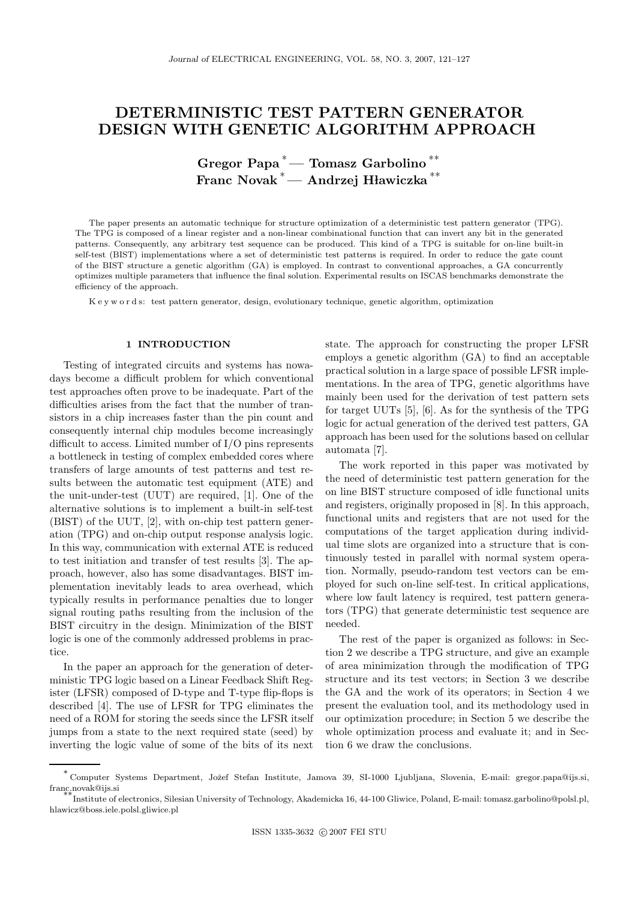# DETERMINISTIC TEST PATTERN GENERATOR DESIGN WITH GENETIC ALGORITHM APPROACH

Gregor Papa <sup>∗</sup>— Tomasz Garbolino ∗∗ Franc Novak<sup>\*</sup> — Andrzej Hławiczka<sup>\*\*</sup>

The paper presents an automatic technique for structure optimization of a deterministic test pattern generator (TPG). The TPG is composed of a linear register and a non-linear combinational function that can invert any bit in the generated patterns. Consequently, any arbitrary test sequence can be produced. This kind of a TPG is suitable for on-line built-in self-test (BIST) implementations where a set of deterministic test patterns is required. In order to reduce the gate count of the BIST structure a genetic algorithm (GA) is employed. In contrast to conventional approaches, a GA concurrently optimizes multiple parameters that influence the final solution. Experimental results on ISCAS benchmarks demonstrate the efficiency of the approach.

K e y w o r d s: test pattern generator, design, evolutionary technique, genetic algorithm, optimization

### 1 INTRODUCTION

Testing of integrated circuits and systems has nowadays become a difficult problem for which conventional test approaches often prove to be inadequate. Part of the difficulties arises from the fact that the number of transistors in a chip increases faster than the pin count and consequently internal chip modules become increasingly difficult to access. Limited number of I/O pins represents a bottleneck in testing of complex embedded cores where transfers of large amounts of test patterns and test results between the automatic test equipment (ATE) and the unit-under-test (UUT) are required, [1]. One of the alternative solutions is to implement a built-in self-test (BIST) of the UUT, [2], with on-chip test pattern generation (TPG) and on-chip output response analysis logic. In this way, communication with external ATE is reduced to test initiation and transfer of test results [3]. The approach, however, also has some disadvantages. BIST implementation inevitably leads to area overhead, which typically results in performance penalties due to longer signal routing paths resulting from the inclusion of the BIST circuitry in the design. Minimization of the BIST logic is one of the commonly addressed problems in practice.

In the paper an approach for the generation of deterministic TPG logic based on a Linear Feedback Shift Register (LFSR) composed of D-type and T-type flip-flops is described [4]. The use of LFSR for TPG eliminates the need of a ROM for storing the seeds since the LFSR itself jumps from a state to the next required state (seed) by inverting the logic value of some of the bits of its next state. The approach for constructing the proper LFSR employs a genetic algorithm (GA) to find an acceptable practical solution in a large space of possible LFSR implementations. In the area of TPG, genetic algorithms have mainly been used for the derivation of test pattern sets for target UUTs [5], [6]. As for the synthesis of the TPG logic for actual generation of the derived test patters, GA approach has been used for the solutions based on cellular automata [7].

The work reported in this paper was motivated by the need of deterministic test pattern generation for the on line BIST structure composed of idle functional units and registers, originally proposed in [8]. In this approach, functional units and registers that are not used for the computations of the target application during individual time slots are organized into a structure that is continuously tested in parallel with normal system operation. Normally, pseudo-random test vectors can be employed for such on-line self-test. In critical applications, where low fault latency is required, test pattern generators (TPG) that generate deterministic test sequence are needed.

The rest of the paper is organized as follows: in Section 2 we describe a TPG structure, and give an example of area minimization through the modification of TPG structure and its test vectors; in Section 3 we describe the GA and the work of its operators; in Section 4 we present the evaluation tool, and its methodology used in our optimization procedure; in Section 5 we describe the whole optimization process and evaluate it; and in Section 6 we draw the conclusions.

<sup>∗</sup> Computer Systems Department, Joˇzef Stefan Institute, Jamova 39, SI-1000 Ljubljana, Slovenia, E-mail: gregor.papa@ijs.si, franc.novak@ijs.si

<sup>∗∗</sup>Institute of electronics, Silesian University of Technology, Akademicka 16, 44-100 Gliwice, Poland, E-mail: tomasz.garbolino@polsl.pl, hlawicz@boss.iele.polsl.gliwice.pl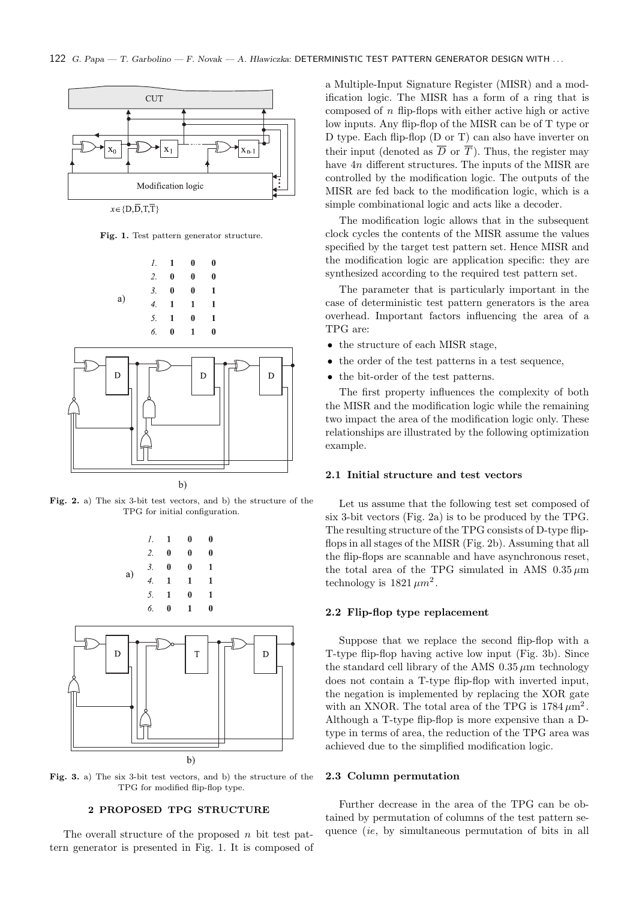

Fig. 1. Test pattern generator structure.



Fig. 2. a) The six 3-bit test vectors, and b) the structure of the TPG for initial configuration.



Fig. 3. a) The six 3-bit test vectors, and b) the structure of the TPG for modified flip-flop type.

#### 2 PROPOSED TPG STRUCTURE

The overall structure of the proposed  $n$  bit test pattern generator is presented in Fig. 1. It is composed of a Multiple-Input Signature Register (MISR) and a modification logic. The MISR has a form of a ring that is composed of n flip-flops with either active high or active low inputs. Any flip-flop of the MISR can be of T type or D type. Each flip-flop (D or T) can also have inverter on their input (denoted as  $\overline{D}$  or  $\overline{T}$ ). Thus, the register may have  $4n$  different structures. The inputs of the MISR are controlled by the modification logic. The outputs of the MISR are fed back to the modification logic, which is a simple combinational logic and acts like a decoder.

The modification logic allows that in the subsequent clock cycles the contents of the MISR assume the values specified by the target test pattern set. Hence MISR and the modification logic are application specific: they are synthesized according to the required test pattern set.

The parameter that is particularly important in the case of deterministic test pattern generators is the area overhead. Important factors influencing the area of a TPG are:

- the structure of each MISR stage,
- $\bullet~$  the order of the test patterns in a test sequence,
- the bit-order of the test patterns.

The first property influences the complexity of both the MISR and the modification logic while the remaining two impact the area of the modification logic only. These relationships are illustrated by the following optimization example.

# 2.1 Initial structure and test vectors

Let us assume that the following test set composed of six 3-bit vectors (Fig. 2a) is to be produced by the TPG. The resulting structure of the TPG consists of D-type flipflops in all stages of the MISR (Fig. 2b). Assuming that all the flip-flops are scannable and have asynchronous reset, the total area of the TPG simulated in AMS  $0.35 \mu m$ technology is  $1821 \mu m^2$ .

## 2.2 Flip-flop type replacement

Suppose that we replace the second flip-flop with a T-type flip-flop having active low input (Fig. 3b). Since the standard cell library of the AMS  $0.35 \mu m$  technology does not contain a T-type flip-flop with inverted input, the negation is implemented by replacing the XOR gate with an XNOR. The total area of the TPG is  $1784 \,\mu \mathrm{m}^2$ . Although a T-type flip-flop is more expensive than a Dtype in terms of area, the reduction of the TPG area was achieved due to the simplified modification logic.

## 2.3 Column permutation

Further decrease in the area of the TPG can be obtained by permutation of columns of the test pattern sequence *(ie, by simultaneous permutation of bits in all*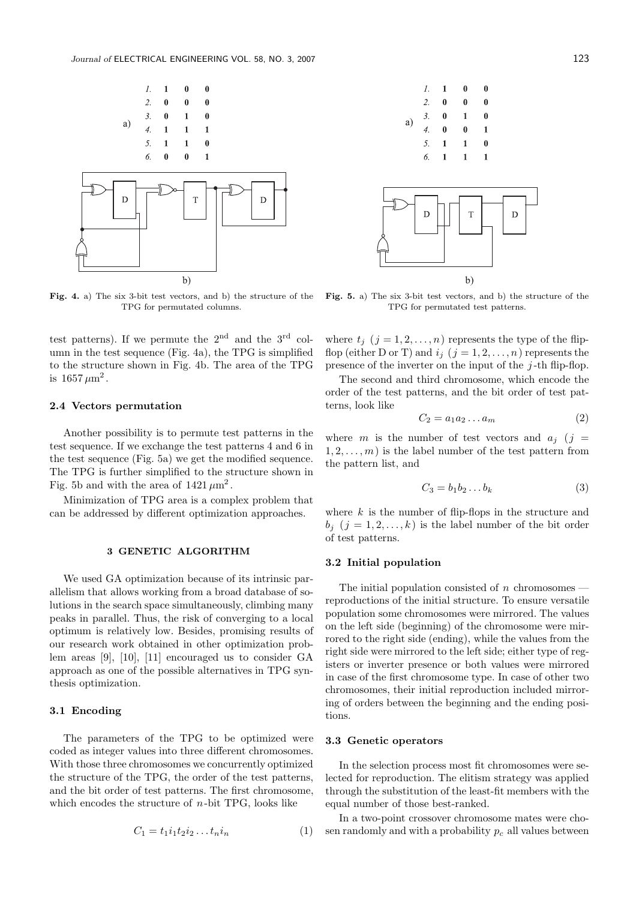

Fig. 4. a) The six 3-bit test vectors, and b) the structure of the TPG for permutated columns.

test patterns). If we permute the  $2<sup>nd</sup>$  and the  $3<sup>rd</sup>$  column in the test sequence (Fig. 4a), the TPG is simplified to the structure shown in Fig. 4b. The area of the TPG is  $1657 \,\mu \mathrm{m}^2$ .

## 2.4 Vectors permutation

Another possibility is to permute test patterns in the test sequence. If we exchange the test patterns 4 and 6 in the test sequence (Fig. 5a) we get the modified sequence. The TPG is further simplified to the structure shown in Fig. 5b and with the area of  $1421 \mu m^2$ .

Minimization of TPG area is a complex problem that can be addressed by different optimization approaches.

#### 3 GENETIC ALGORITHM

We used GA optimization because of its intrinsic parallelism that allows working from a broad database of solutions in the search space simultaneously, climbing many peaks in parallel. Thus, the risk of converging to a local optimum is relatively low. Besides, promising results of our research work obtained in other optimization problem areas [9], [10], [11] encouraged us to consider GA approach as one of the possible alternatives in TPG synthesis optimization.

## 3.1 Encoding

The parameters of the TPG to be optimized were coded as integer values into three different chromosomes. With those three chromosomes we concurrently optimized the structure of the TPG, the order of the test patterns, and the bit order of test patterns. The first chromosome, which encodes the structure of  $n$ -bit TPG, looks like

$$
C_1 = t_1 i_1 t_2 i_2 \dots t_n i_n \tag{1}
$$



Fig. 5. a) The six 3-bit test vectors, and b) the structure of the TPG for permutated test patterns.

where  $t_j$   $(j = 1, 2, ..., n)$  represents the type of the flipflop (either D or T) and  $i_j$   $(j = 1, 2, ..., n)$  represents the presence of the inverter on the input of the  $j$ -th flip-flop.

The second and third chromosome, which encode the order of the test patterns, and the bit order of test patterns, look like

$$
C_2 = a_1 a_2 \dots a_m \tag{2}
$$

where m is the number of test vectors and  $a_j$  (j =  $1, 2, \ldots, m$  is the label number of the test pattern from the pattern list, and

$$
C_3 = b_1 b_2 \dots b_k \tag{3}
$$

where  $k$  is the number of flip-flops in the structure and  $b_i$   $(j = 1, 2, ..., k)$  is the label number of the bit order of test patterns.

#### 3.2 Initial population

The initial population consisted of  $n$  chromosomes  $\overline{\phantom{a}}$ reproductions of the initial structure. To ensure versatile population some chromosomes were mirrored. The values on the left side (beginning) of the chromosome were mirrored to the right side (ending), while the values from the right side were mirrored to the left side; either type of registers or inverter presence or both values were mirrored in case of the first chromosome type. In case of other two chromosomes, their initial reproduction included mirroring of orders between the beginning and the ending positions.

## 3.3 Genetic operators

In the selection process most fit chromosomes were selected for reproduction. The elitism strategy was applied through the substitution of the least-fit members with the equal number of those best-ranked.

In a two-point crossover chromosome mates were chosen randomly and with a probability  $p_c$  all values between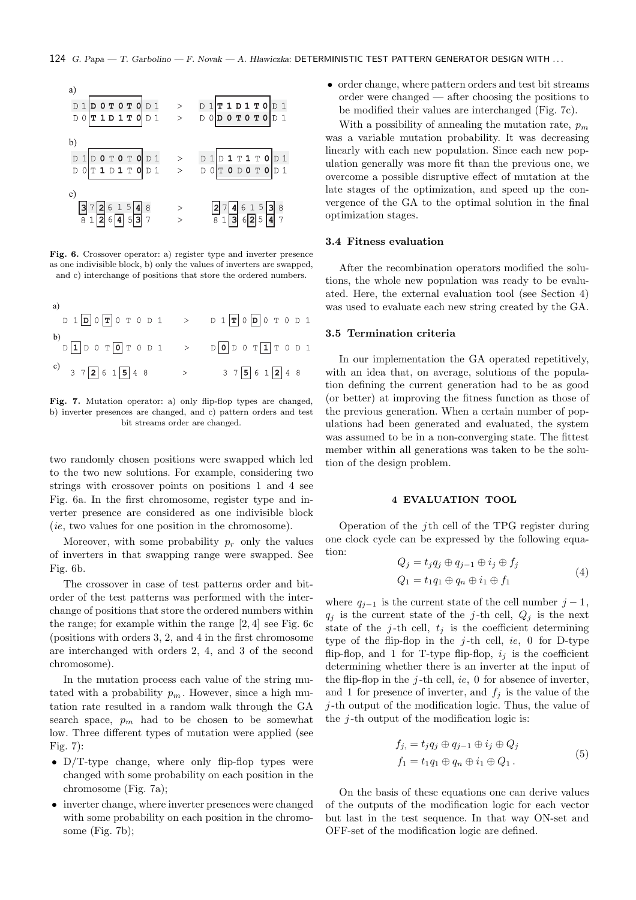

Fig. 6. Crossover operator: a) register type and inverter presence as one indivisible block, b) only the values of inverters are swapped, and c) interchange of positions that store the ordered numbers.

a)  
\n
$$
D 1 D 0 T 0 T 0 D 1 > D 1 T 0 D 0 T 0 D 1
$$
\nb)  
\n
$$
D 1 D 0 T 0 T 0 D 1 > D 0 T 1 T 0 D 1
$$
\nc)  
\n
$$
3 7 2 6 1 5 4 8 > 3 7 5 6 1 2 4 8
$$

Fig. 7. Mutation operator: a) only flip-flop types are changed, b) inverter presences are changed, and c) pattern orders and test bit streams order are changed.

two randomly chosen positions were swapped which led to the two new solutions. For example, considering two strings with crossover points on positions 1 and 4 see Fig. 6a. In the first chromosome, register type and inverter presence are considered as one indivisible block (ie, two values for one position in the chromosome).

Moreover, with some probability  $p_r$  only the values of inverters in that swapping range were swapped. See Fig. 6b.

The crossover in case of test patterns order and bitorder of the test patterns was performed with the interchange of positions that store the ordered numbers within the range; for example within the range [2, 4] see Fig. 6c (positions with orders 3, 2, and 4 in the first chromosome are interchanged with orders 2, 4, and 3 of the second chromosome).

In the mutation process each value of the string mutated with a probability  $p_m$ . However, since a high mutation rate resulted in a random walk through the GA search space,  $p_m$  had to be chosen to be somewhat low. Three different types of mutation were applied (see Fig. 7):

- D/T-type change, where only flip-flop types were changed with some probability on each position in the chromosome (Fig. 7a);
- inverter change, where inverter presences were changed with some probability on each position in the chromosome (Fig. 7b);

• order change, where pattern orders and test bit streams order were changed — after choosing the positions to be modified their values are interchanged (Fig. 7c).

With a possibility of annealing the mutation rate,  $p_m$ was a variable mutation probability. It was decreasing linearly with each new population. Since each new population generally was more fit than the previous one, we overcome a possible disruptive effect of mutation at the late stages of the optimization, and speed up the convergence of the GA to the optimal solution in the final optimization stages.

#### 3.4 Fitness evaluation

After the recombination operators modified the solutions, the whole new population was ready to be evaluated. Here, the external evaluation tool (see Section 4) was used to evaluate each new string created by the GA.

## 3.5 Termination criteria

In our implementation the GA operated repetitively, with an idea that, on average, solutions of the population defining the current generation had to be as good (or better) at improving the fitness function as those of the previous generation. When a certain number of populations had been generated and evaluated, the system was assumed to be in a non-converging state. The fittest member within all generations was taken to be the solution of the design problem.

#### 4 EVALUATION TOOL

Operation of the j<sup>th</sup> cell of the TPG register during one clock cycle can be expressed by the following equation:

$$
Q_j = t_j q_j \oplus q_{j-1} \oplus i_j \oplus f_j
$$
  
\n
$$
Q_1 = t_1 q_1 \oplus q_n \oplus i_1 \oplus f_1
$$
\n(4)

where  $q_{i-1}$  is the current state of the cell number  $j-1$ ,  $q_i$  is the current state of the j-th cell,  $Q_i$  is the next state of the j-th cell,  $t_j$  is the coefficient determining type of the flip-flop in the j-th cell, ie, 0 for D-type flip-flop, and 1 for T-type flip-flop,  $i_j$  is the coefficient determining whether there is an inverter at the input of the flip-flop in the  $j$ -th cell, ie, 0 for absence of inverter, and 1 for presence of inverter, and  $f_j$  is the value of the  $j$ -th output of the modification logic. Thus, the value of the  $j$ -th output of the modification logic is:

$$
f_{j} = t_{j}q_{j} \oplus q_{j-1} \oplus i_{j} \oplus Q_{j}
$$
  
\n
$$
f_{1} = t_{1}q_{1} \oplus q_{n} \oplus i_{1} \oplus Q_{1}.
$$
  
\n(5)

On the basis of these equations one can derive values of the outputs of the modification logic for each vector but last in the test sequence. In that way ON-set and OFF-set of the modification logic are defined.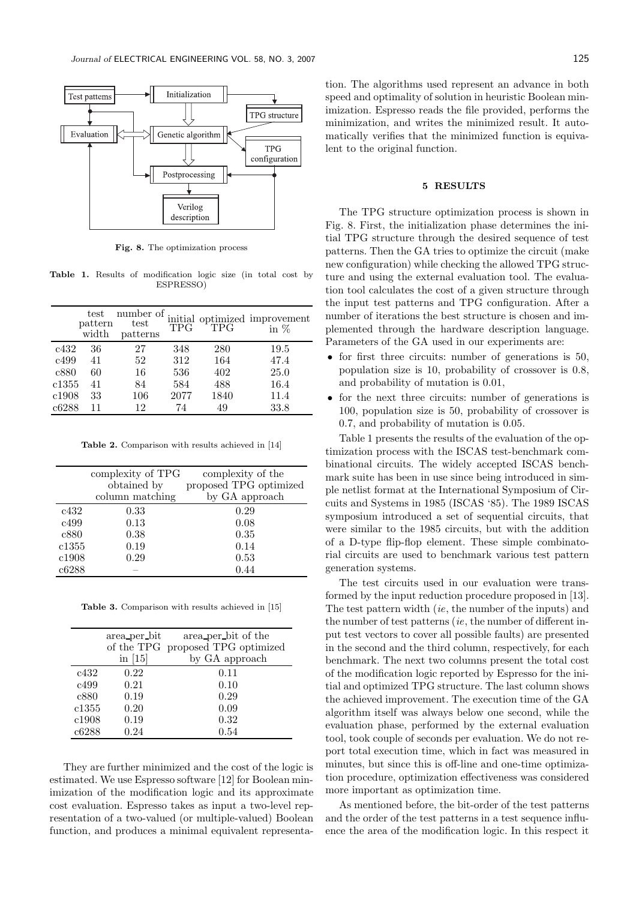

Fig. 8. The optimization process

Table 1. Results of modification logic size (in total cost by ESPRESSO)

|       | test<br>pattern<br>width | number of.<br>test<br>patterns | <b>TPG</b> | <b>TPG</b> | initial optimized improvement<br>in $\%$ |
|-------|--------------------------|--------------------------------|------------|------------|------------------------------------------|
| c432  | 36                       | 27                             | 348        | 280        | 19.5                                     |
| c499  | 41                       | 52                             | 312        | 164        | 47.4                                     |
| c880  | 60                       | 16                             | 536        | 402        | 25.0                                     |
| c1355 | 41                       | 84                             | 584        | 488        | 16.4                                     |
| c1908 | 33                       | 106                            | 2077       | 1840       | 11.4                                     |
| c6288 | 11                       | 12                             | 74         | 49         | 33.8                                     |

Table 2. Comparison with results achieved in [14]

|       | complexity of TPG | complexity of the      |
|-------|-------------------|------------------------|
|       | obtained by       | proposed TPG optimized |
|       | column matching   | by GA approach         |
| c432  | 0.33              | 0.29                   |
| c499  | 0.13              | 0.08                   |
| c880  | 0.38              | 0.35                   |
| c1355 | 0.19              | 0.14                   |
| c1908 | 0.29              | 0.53                   |
| c6288 |                   | 0.44                   |

Table 3. Comparison with results achieved in [15]

|       | area per bit | area per bit of the               |
|-------|--------------|-----------------------------------|
|       |              | of the TPG proposed TPG optimized |
|       | in $[15]$    | by GA approach                    |
| c432  | 0.22         | 0.11                              |
| c499  | 0.21         | 0.10                              |
| c880  | 0.19         | 0.29                              |
| c1355 | 0.20         | 0.09                              |
| c1908 | 0.19         | 0.32                              |
| c6288 | 0.24         | 0.54                              |

They are further minimized and the cost of the logic is estimated. We use Espresso software [12] for Boolean minimization of the modification logic and its approximate cost evaluation. Espresso takes as input a two-level representation of a two-valued (or multiple-valued) Boolean function, and produces a minimal equivalent representation. The algorithms used represent an advance in both speed and optimality of solution in heuristic Boolean minimization. Espresso reads the file provided, performs the minimization, and writes the minimized result. It automatically verifies that the minimized function is equivalent to the original function.

#### 5 RESULTS

The TPG structure optimization process is shown in Fig. 8. First, the initialization phase determines the initial TPG structure through the desired sequence of test patterns. Then the GA tries to optimize the circuit (make new configuration) while checking the allowed TPG structure and using the external evaluation tool. The evaluation tool calculates the cost of a given structure through the input test patterns and TPG configuration. After a number of iterations the best structure is chosen and implemented through the hardware description language. Parameters of the GA used in our experiments are:

- for first three circuits: number of generations is 50, population size is 10, probability of crossover is 0.8, and probability of mutation is 0.01,
- for the next three circuits: number of generations is 100, population size is 50, probability of crossover is 0.7, and probability of mutation is 0.05.

Table 1 presents the results of the evaluation of the optimization process with the ISCAS test-benchmark combinational circuits. The widely accepted ISCAS benchmark suite has been in use since being introduced in simple netlist format at the International Symposium of Circuits and Systems in 1985 (ISCAS '85). The 1989 ISCAS symposium introduced a set of sequential circuits, that were similar to the 1985 circuits, but with the addition of a D-type flip-flop element. These simple combinatorial circuits are used to benchmark various test pattern generation systems.

The test circuits used in our evaluation were transformed by the input reduction procedure proposed in [13]. The test pattern width (ie, the number of the inputs) and the number of test patterns  $(ie, the number of different in$ put test vectors to cover all possible faults) are presented in the second and the third column, respectively, for each benchmark. The next two columns present the total cost of the modification logic reported by Espresso for the initial and optimized TPG structure. The last column shows the achieved improvement. The execution time of the GA algorithm itself was always below one second, while the evaluation phase, performed by the external evaluation tool, took couple of seconds per evaluation. We do not report total execution time, which in fact was measured in minutes, but since this is off-line and one-time optimization procedure, optimization effectiveness was considered more important as optimization time.

As mentioned before, the bit-order of the test patterns and the order of the test patterns in a test sequence influence the area of the modification logic. In this respect it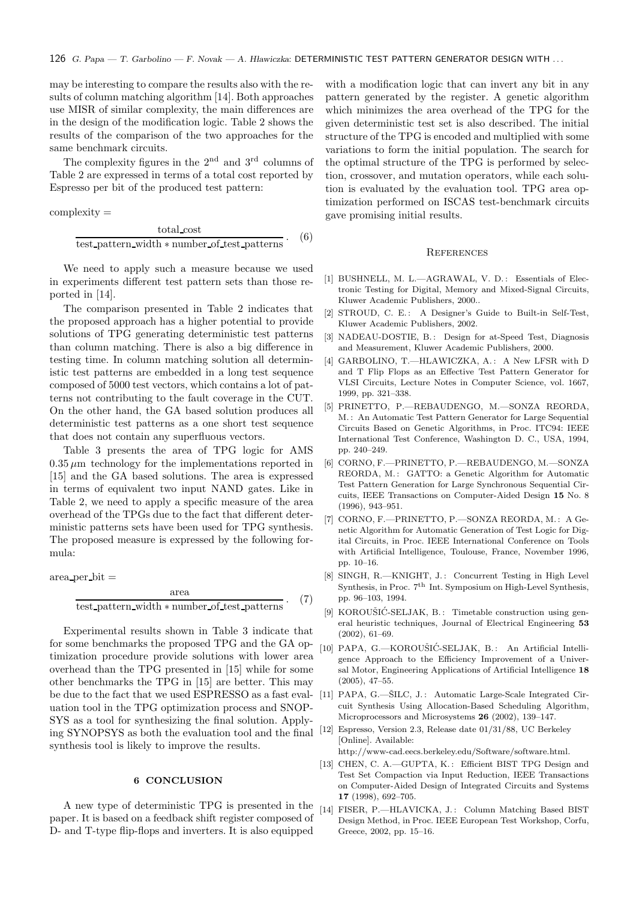may be interesting to compare the results also with the results of column matching algorithm [14]. Both approaches use MISR of similar complexity, the main differences are in the design of the modification logic. Table 2 shows the results of the comparison of the two approaches for the same benchmark circuits.

The complexity figures in the  $2<sup>nd</sup>$  and  $3<sup>rd</sup>$  columns of Table 2 are expressed in terms of a total cost reported by Espresso per bit of the produced test pattern:

complexity =

$$
\frac{\text{total\_cost}}{\text{test}\_\text{pattern\_width} * \text{number}\_\text{of\_test}\_\text{patterns}}\,. \tag{6}
$$

We need to apply such a measure because we used in experiments different test pattern sets than those reported in [14].

The comparison presented in Table 2 indicates that the proposed approach has a higher potential to provide solutions of TPG generating deterministic test patterns than column matching. There is also a big difference in testing time. In column matching solution all deterministic test patterns are embedded in a long test sequence composed of 5000 test vectors, which contains a lot of patterns not contributing to the fault coverage in the CUT. On the other hand, the GA based solution produces all deterministic test patterns as a one short test sequence that does not contain any superfluous vectors.

Table 3 presents the area of TPG logic for AMS  $0.35 \mu m$  technology for the implementations reported in [15] and the GA based solutions. The area is expressed in terms of equivalent two input NAND gates. Like in Table 2, we need to apply a specific measure of the area overhead of the TPGs due to the fact that different deterministic patterns sets have been used for TPG synthesis. The proposed measure is expressed by the following formula:

$$
area-per\_bit =
$$
area 
$$
area \qquad (7)
$$

$$
\frac{d}{\text{test}\text{-pattern}\text{-width}*\text{number}\text{-of}\text{-test}\text{-patterns}}.\tag{7}
$$

Experimental results shown in Table 3 indicate that for some benchmarks the proposed TPG and the GA optimization procedure provide solutions with lower area overhead than the TPG presented in [15] while for some other benchmarks the TPG in [15] are better. This may be due to the fact that we used ESPRESSO as a fast evaluation tool in the TPG optimization process and SNOP-SYS as a tool for synthesizing the final solution. Applying SYNOPSYS as both the evaluation tool and the final synthesis tool is likely to improve the results.

## 6 CONCLUSION

A new type of deterministic TPG is presented in the paper. It is based on a feedback shift register composed of D- and T-type flip-flops and inverters. It is also equipped

with a modification logic that can invert any bit in any pattern generated by the register. A genetic algorithm which minimizes the area overhead of the TPG for the given deterministic test set is also described. The initial structure of the TPG is encoded and multiplied with some variations to form the initial population. The search for the optimal structure of the TPG is performed by selection, crossover, and mutation operators, while each solution is evaluated by the evaluation tool. TPG area optimization performed on ISCAS test-benchmark circuits gave promising initial results.

#### **REFERENCES**

- [1] BUSHNELL, M. L.—AGRAWAL, V. D.: Essentials of Electronic Testing for Digital, Memory and Mixed-Signal Circuits, Kluwer Academic Publishers, 2000..
- [2] STROUD, C. E.: A Designer's Guide to Built-in Self-Test, Kluwer Academic Publishers, 2002.
- [3] NADEAU-DOSTIE, B.: Design for at-Speed Test, Diagnosis and Measurement, Kluwer Academic Publishers, 2000.
- [4] GARBOLINO, T.—HLAWICZKA, A.: A New LFSR with D and T Flip Flops as an Effective Test Pattern Generator for VLSI Circuits, Lecture Notes in Computer Science, vol. 1667, 1999, pp. 321–338.
- [5] PRINETTO, P.—REBAUDENGO, M.—SONZA REORDA, M.: An Automatic Test Pattern Generator for Large Sequential Circuits Based on Genetic Algorithms, in Proc. ITC94: IEEE International Test Conference, Washington D. C., USA, 1994, pp. 240–249.
- [6] CORNO, F.—PRINETTO, P.—REBAUDENGO, M.—SONZA REORDA, M.: GATTO: a Genetic Algorithm for Automatic Test Pattern Generation for Large Synchronous Sequential Circuits, IEEE Transactions on Computer-Aided Design 15 No. 8 (1996), 943–951.
- [7] CORNO, F.—PRINETTO, P.—SONZA REORDA, M. : A Genetic Algorithm for Automatic Generation of Test Logic for Digital Circuits, in Proc. IEEE International Conference on Tools with Artificial Intelligence, Toulouse, France, November 1996, pp. 10–16.
- [8] SINGH, R.-KNIGHT, J.: Concurrent Testing in High Level Synthesis, in Proc. 7<sup>th</sup> Int. Symposium on High-Level Synthesis, pp. 96–103, 1994.
- [9] KOROUŠIĆ-SELJAK, B.: Timetable construction using general heuristic techniques, Journal of Electrical Engineering 53 (2002), 61–69.
- [10] PAPA, G.-KOROUŠIĆ-SELJAK, B.: An Artificial Intelligence Approach to the Efficiency Improvement of a Universal Motor, Engineering Applications of Artificial Intelligence 18 (2005), 47–55.
- [11] PAPA, G.-SILC, J.: Automatic Large-Scale Integrated Circuit Synthesis Using Allocation-Based Scheduling Algorithm, Microprocessors and Microsystems 26 (2002), 139–147.
- [12] Espresso, Version 2.3, Release date 01/31/88, UC Berkeley [Online]. Available:

http://www-cad.eecs.berkeley.edu/Software/software.html.

- [13] CHEN, C. A.-GUPTA, K.: Efficient BIST TPG Design and Test Set Compaction via Input Reduction, IEEE Transactions on Computer-Aided Design of Integrated Circuits and Systems 17 (1998), 692–705.
- [14] FISER, P.-HLAVICKA, J.: Column Matching Based BIST Design Method, in Proc. IEEE European Test Workshop, Corfu, Greece, 2002, pp. 15–16.